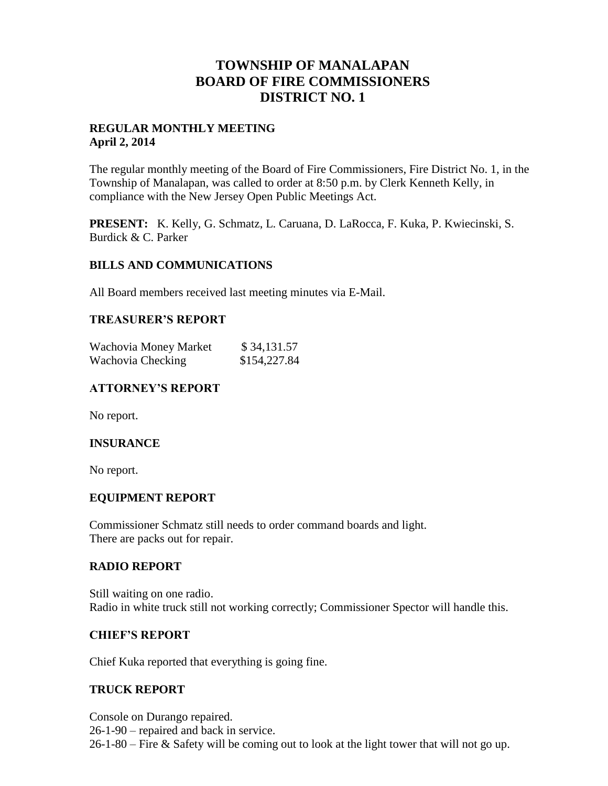# **TOWNSHIP OF MANALAPAN BOARD OF FIRE COMMISSIONERS DISTRICT NO. 1**

# **REGULAR MONTHLY MEETING April 2, 2014**

The regular monthly meeting of the Board of Fire Commissioners, Fire District No. 1, in the Township of Manalapan, was called to order at 8:50 p.m. by Clerk Kenneth Kelly, in compliance with the New Jersey Open Public Meetings Act.

**PRESENT:** K. Kelly, G. Schmatz, L. Caruana, D. LaRocca, F. Kuka, P. Kwiecinski, S. Burdick & C. Parker

## **BILLS AND COMMUNICATIONS**

All Board members received last meeting minutes via E-Mail.

#### **TREASURER'S REPORT**

| Wachovia Money Market | \$34,131.57  |
|-----------------------|--------------|
| Wachovia Checking     | \$154,227.84 |

## **ATTORNEY'S REPORT**

No report.

## **INSURANCE**

No report.

## **EQUIPMENT REPORT**

Commissioner Schmatz still needs to order command boards and light. There are packs out for repair.

#### **RADIO REPORT**

Still waiting on one radio. Radio in white truck still not working correctly; Commissioner Spector will handle this.

#### **CHIEF'S REPORT**

Chief Kuka reported that everything is going fine.

#### **TRUCK REPORT**

Console on Durango repaired. 26-1-90 – repaired and back in service. 26-1-80 – Fire & Safety will be coming out to look at the light tower that will not go up.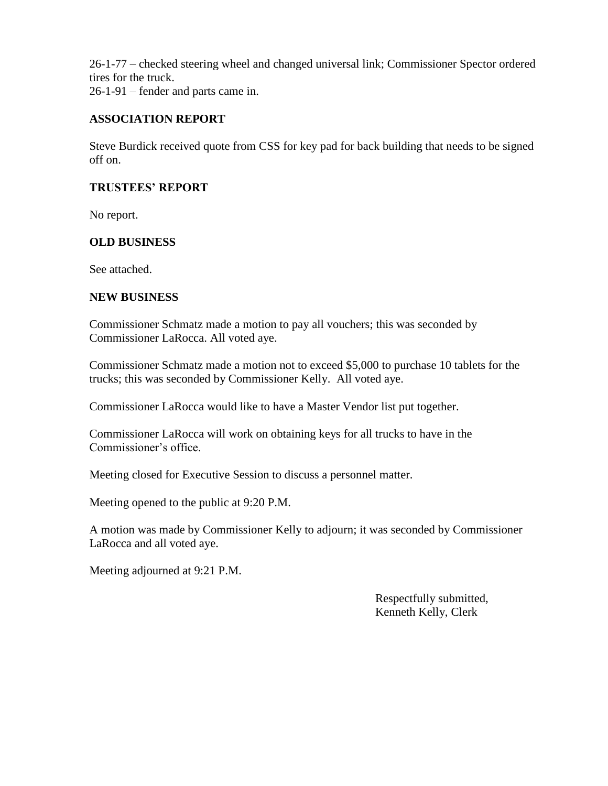26-1-77 – checked steering wheel and changed universal link; Commissioner Spector ordered tires for the truck. 26-1-91 – fender and parts came in.

# **ASSOCIATION REPORT**

Steve Burdick received quote from CSS for key pad for back building that needs to be signed off on.

## **TRUSTEES' REPORT**

No report.

# **OLD BUSINESS**

See attached.

## **NEW BUSINESS**

Commissioner Schmatz made a motion to pay all vouchers; this was seconded by Commissioner LaRocca. All voted aye.

Commissioner Schmatz made a motion not to exceed \$5,000 to purchase 10 tablets for the trucks; this was seconded by Commissioner Kelly. All voted aye.

Commissioner LaRocca would like to have a Master Vendor list put together.

Commissioner LaRocca will work on obtaining keys for all trucks to have in the Commissioner's office.

Meeting closed for Executive Session to discuss a personnel matter.

Meeting opened to the public at 9:20 P.M.

A motion was made by Commissioner Kelly to adjourn; it was seconded by Commissioner LaRocca and all voted aye.

Meeting adjourned at 9:21 P.M.

 Respectfully submitted, Kenneth Kelly, Clerk